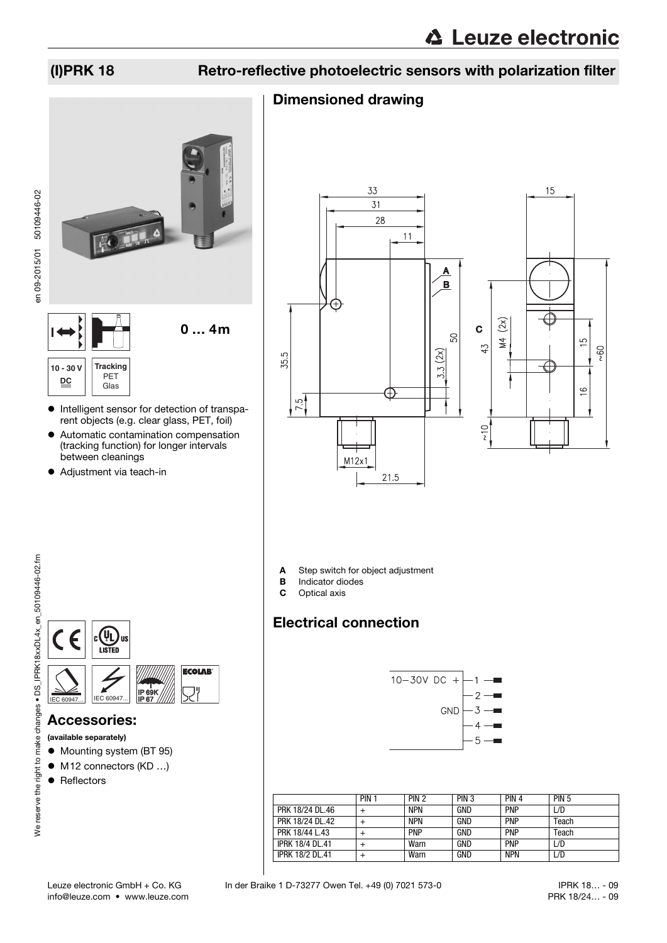## (I)PRK 18 Retro-reflective photoelectric sensors with polarization filter

### Dimensioned drawing





### **10 - 30 V DC Tracking** PET Glas

- $\bullet$  Intelligent sensor for detection of transparent objects (e.g. clear glass, PET, foil)
- Automatic contamination compensation (tracking function) for longer intervals between cleanings
- Adjustment via teach-in





15

A Step switch for object adjustment<br>B Indicator diodes

- **B** Indicator diodes<br>**C** Optical axis
- Optical axis

## Electrical connection



|                        | PIN <sub>1</sub> | PIN <sub>2</sub> | PIN <sub>3</sub> | PIN <sub>4</sub> | <b>PIN 5</b> |
|------------------------|------------------|------------------|------------------|------------------|--------------|
| PRK 18/24 DL.46        |                  | <b>NPN</b>       | GND              | <b>PNP</b>       | L/D          |
| PRK 18/24 DL.42        |                  | <b>NPN</b>       | GND              | <b>PNP</b>       | Teach        |
| PRK 18/44 L.43         |                  | <b>PNP</b>       | GND              | <b>PNP</b>       | Teach        |
| <b>IPRK 18/4 DL.41</b> |                  | Warn             | GND              | <b>PNP</b>       | L/D          |
| <b>IPRK 18/2 DL.41</b> |                  | Warn             | GND              | <b>NPN</b>       | L/D          |



### Accessories:

- (available separately)
- $\bullet$  Mounting system (BT 95)
- M12 connectors (KD ...)
- Reflectors

info@leuze.com • www.leuze.com

 IPRK 18… - 09 PRK 18/24… - 09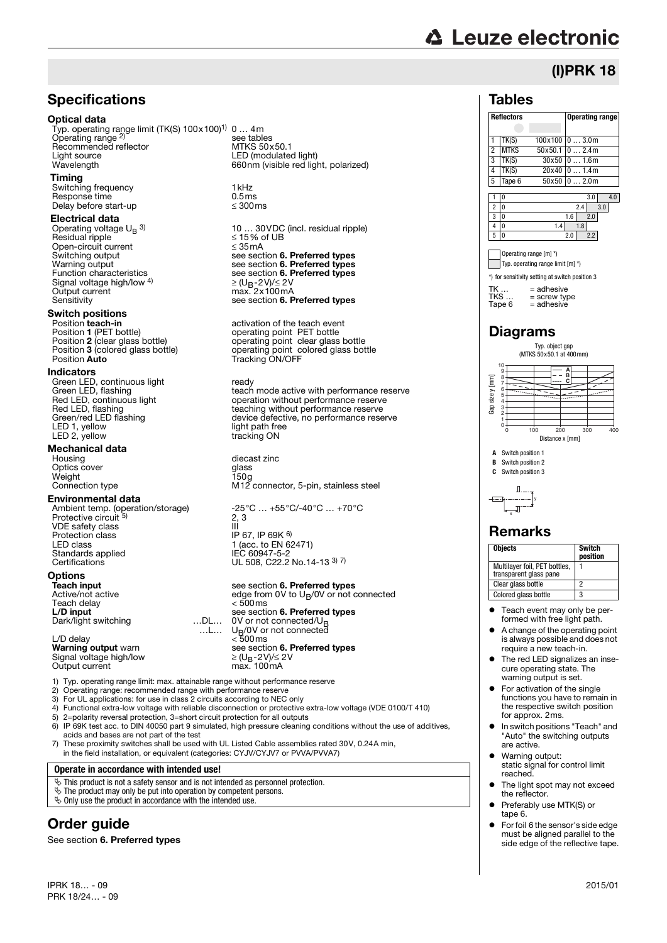# **△ Leuze electronic**

(I)PRK 18

### **Specifications**

### Optical data

Typ. operating range limit (TK(S) 100x100)1) 0 … 4m Operating range 2) Recommended reflector<br>Light source Light source LED (modulated light)

### Timing

Switching frequency 1kHz<br>Response time 0.5ms Response time  $\frac{1}{2}$  0.5ms Delay before start-up

### Electrical data

Operating voltage  $U_B$  3)  $Residual$  ripple  $\leq 15\%$  of UBS of UBS of UBS of UBS of UBS of UBS of UBS of UBS of UBS of UBS of UBS of UBS of UBS of UBS of UBS of UBS of UBS of UBS of UBS of UBS of UBS of UBS of UBS of UBS of UBS of UBS of UBS of UBS of Open-circuit current<br>Switching output Signal voltage high/low 4)<br>Output current

## **Switch positions**<br>Position teach-in

Position **teach-in** activation of the teach event<br>Position **1** (PET bottle) operating point PET bottle

### Indicators

Green LED, continuous light<br>Green LED, flashing LED 1, yellow light path free LED 2, yellow tracking ON

## **Mechanical data**<br>Housing

Optics cover Weight<br>Connection type

### Environmental data

Protective circuit 5) VDE safety class III Protection class IP 67, IP 69K 6) LED class 1 (acc. to EN 62471) Standards applied<br>Certifications

### **Options**<br>Teach input

Teach delay<br>L/D input Dark/light switching

Paraming valpers in all.<br>Signal voltage high/low<br>Output current

Typ. operating range limit: max. attainable range without performance reserve

- 2) Operating range: recommended range with performance reserve
- 3) For UL applications: for use in class 2 circuits according to NEC only
- 4) Functional extra-low voltage with reliable disconnection or protective extra-low voltage (VDE 0100/T 410)<br>5) 2=nolarity reversal protection 3=short circuit protection for all outputs
- 5) 2=polarity reversal protection, 3=short circuit protection for all outputs<br>6) IP 69K test acc. to DIN 40050 part 9 simulated, high pressure cleaning
- 6) IP 69K test acc. to DIN 40050 part 9 simulated, high pressure cleaning conditions without the use of additives, acids and bases are not part of the test 7) These proximity switches shall be used with UL Listed Cable assemblies rated 30V, 0.24A min.
- in the field installation, or equivalent (categories: CYJV/CYJV7 or PVVA/PVVA7)

…L…

### **Operate in accordance with intended use!**

- $\&$  This product is not a safety sensor and is not intended as personnel protection.
- $\ddot{\phi}$  The product may only be put into operation by competent persons.
- $\&$  Only use the product in accordance with the intended use.

## Order guide

See section [6. Preferred types](#page-3-0)

IPRK 18… - 09 2015/01 PRK 18/24… - 09

see tables<br>MTKS 50x50.1 660nm (visible red light, polarized)

10 … 30VDC (incl. residual ripple) Switching output see section [6. Preferred types](#page-3-0)<br>
Warning output see section 6. Preferred types<br>
Function characteristics<br>
See section 6. Preferred types Warning output see section **[6. Preferred types](#page-3-0)**<br>Function characteristics see section **6. Preferred types** ≥ (U<sub>B</sub>-2V)/≤ 2V Output current max. 2x100mA<br>Sensitivity see section **[6. Preferred types](#page-3-0)** 

Position 1 (PET bottle)<br>
Position 2 (clear glass bottle)<br>
Position 3 (colored glass bottle)<br>
Operating point colored glass bot Position **3** (colored glass bottle) operating point colored glass bottle<br>Position **Auto** Tracking ON/OFF

Green LED, continuous light<br>Green LED, flashing teach mode active with performance reserve<br>Red LED, continuous light content to peration without performance reserve Red LED, continuous light<br>
Red LED, flashing<br>
Red LED, flashing<br>
Green/red LED flashing<br>
Green/red LED flashing<br>
Sevice defective, no performance reserve Red LED, flashing \_\_\_\_\_\_\_\_\_\_\_\_\_\_\_\_\_\_\_\_\_\_\_\_teaching without performance reserve<br>Green/red LED flashing \_\_\_\_\_\_\_\_\_\_\_\_\_\_\_\_\_\_\_device defective, no performance reserve

> diecast zinc<br>glass<br>150g  $M12$  connector, 5-pin, stainless steel

Ambient temp. (operation/storage)  $-25^{\circ}\text{C} ... +55^{\circ}\text{C}$ /-40°C ... +70°C  $\frac{2}{11}$ IEC 60947-5-2<br>IEC 60947-5-2<br>UL 508, C22.2 No.14-13 <sup>3) 7)</sup>

## **Teach input see section [6. Preferred types](#page-3-0)<br>Active/not active set of the section of the Active/not active**

edge from 0V to U<sub>B</sub>/0V or not connected<br>< 500 ms see section [6. Preferred types](#page-3-0)<br>...D L... 0V or not connected/U<sub>B</sub> 0V or not connected/U<sub>B</sub> UB/0V or not connected L/D delay < 500ms Warning output warn see section [6. Preferred types](#page-3-0)  $\geq$  (U<sub>B</sub>-2V)/ $\leq$  2V<br>max. 100mA

 Teach event may only be performed with free light path. A change of the operating point

**Objects** Switch

**position**

1

**A** Switch position 1 **B** Switch position 2<br>**C** Switch position 3 **C** Switch position 3

x Remarks

y

Multilayer foil, PET bottles, transparent glass pane

Clear glass bottle 2 Colored glass bottle

- is always possible and does not require a new teach-in. The red LED signalizes an inse-
- cure operating state. The warning output is set.
- For activation of the single functions you have to remain in the respective switch position for approx. 2ms.
- In switch positions "Teach" and "Auto" the switching outputs are active.
- Warning output: static signal for control limit reached.
- The light spot may not exceed the reflector.
- Preferably use MTK(S) or tape 6.
- For foil 6 the sensor's side edge must be aligned parallel to the side edge of the reflective tape.

### Tables

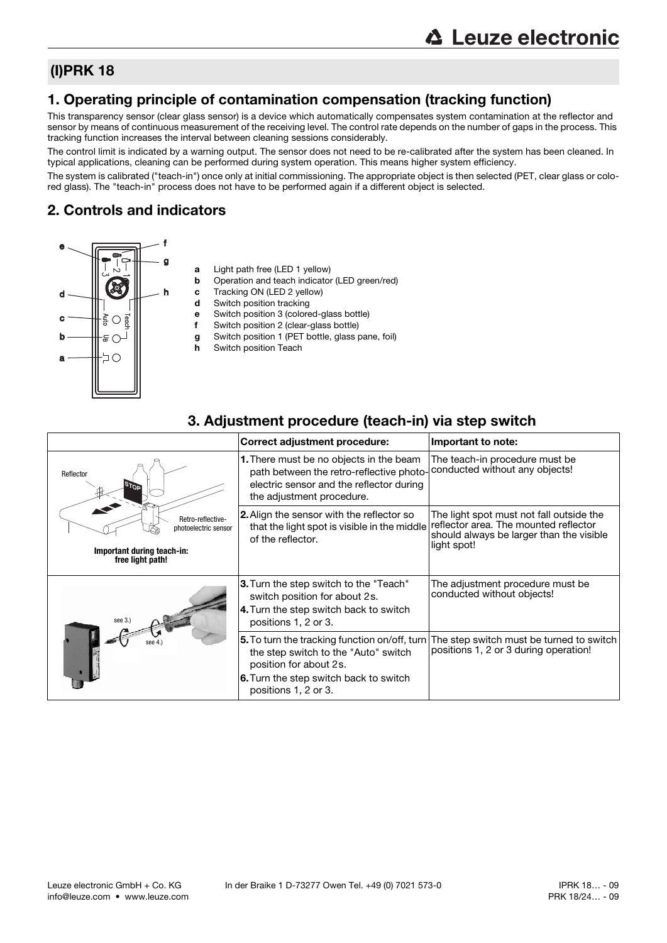### (I)PRK 18

### 1. Operating principle of contamination compensation (tracking function)

This transparency sensor (clear glass sensor) is a device which automatically compensates system contamination at the reflector and sensor by means of continuous measurement of the receiving level. The control rate depends on the number of gaps in the process. This tracking function increases the interval between cleaning sessions considerably.

The control limit is indicated by a warning output. The sensor does not need to be re-calibrated after the system has been cleaned. In typical applications, cleaning can be performed during system operation. This means higher system efficiency.

The system is calibrated ("teach-in") once only at initial commissioning. The appropriate object is then selected (PET, clear glass or colored glass). The "teach-in" process does not have to be performed again if a different object is selected.

### 2. Controls and indicators



- a Light path free (LED 1 yellow)
- **b** Operation and teach indicator (LED green/red)
- c Tracking ON (LED 2 yellow)
- d Switch position tracking
- e Switch position 3 (colored-glass bottle)
- f Switch position 2 (clear-glass bottle)
- g Switch position 1 (PET bottle, glass pane, foil)
- h Switch position Teach

### Correct adjustment procedure: **Important to note:** 1. There must be no objects in the beam path between the retro-reflective photoelectric sensor and the reflector during the adjustment procedure. The teach-in procedure must be conducted without any objects! 2.Align the sensor with the reflector so that the light spot is visible in the middle of the reflector. The light spot must not fall outside the reflector area. The mounted reflector should always be larger than the visible light spot! 3. Turn the step switch to the "Teach" switch position for about 2s. 4. Turn the step switch back to switch positions 1, 2 or 3. The adjustment procedure must be conducted without objects! 5.To turn the tracking function on/off, turn the step switch to the "Auto" switch position for about 2s. 6.Turn the step switch back to switch positions 1, 2 or 3. The step switch must be turned to switch positions 1, 2 or 3 during operation! **STOP Important during teach-in: free light path!** Retro-reflectivephotoelectric sensor Reflecto see 3.) see 4.)

### 3. Adjustment procedure (teach-in) via step switch